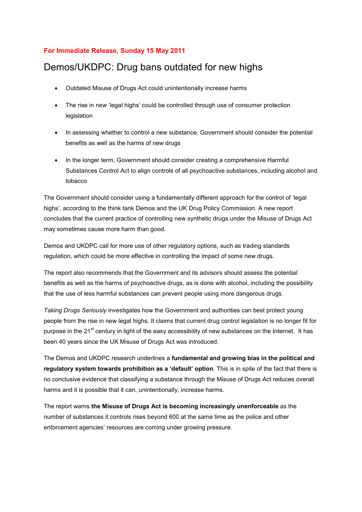## **For Immediate Release, Sunday 15 May 2011**

## Demos/UKDPC: Drug bans outdated for new highs

- Outdated Misuse of Drugs Act could unintentionally increase harms
- The rise in new 'legal highs' could be controlled through use of consumer protection legislation
- In assessing whether to control a new substance, Government should consider the potential benefits as well as the harms of new drugs
- In the longer term, Government should consider creating a comprehensive Harmful Substances Control Act to align controls of all psychoactive substances, including alcohol and tobacco

The Government should consider using a fundamentally different approach for the control of 'legal highs', according to the think tank Demos and the UK Drug Policy Commission. A new report concludes that the current practice of controlling new synthetic drugs under the Misuse of Drugs Act may sometimes cause more harm than good.

Demos and UKDPC call for more use of other regulatory options, such as trading standards regulation, which could be more effective in controlling the impact of some new drugs.

The report also recommends that the Government and its advisors should assess the potential benefits as well as the harms of psychoactive drugs, as is done with alcohol, including the possibility that the use of less harmful substances can prevent people using more dangerous drugs.

*Taking Drugs Seriously* investigates how the Government and authorities can best protect young people from the rise in new legal highs. It claims that current drug control legislation is no longer fit for purpose in the  $21<sup>st</sup>$  century in light of the easy accessibility of new substances on the Internet. It has been 40 years since the UK Misuse of Drugs Act was introduced.

The Demos and UKDPC research underlines a **fundamental and growing bias in the political and regulatory system towards prohibition as a 'default' option**. This is in spite of the fact that there is no conclusive evidence that classifying a substance through the Misuse of Drugs Act reduces overall harms and it is possible that it can, unintentionally, increase harms.

The report warns **the Misuse of Drugs Act is becoming increasingly unenforceable** as the number of substances it controls rises beyond 600 at the same time as the police and other enforcement agencies' resources are coming under growing pressure.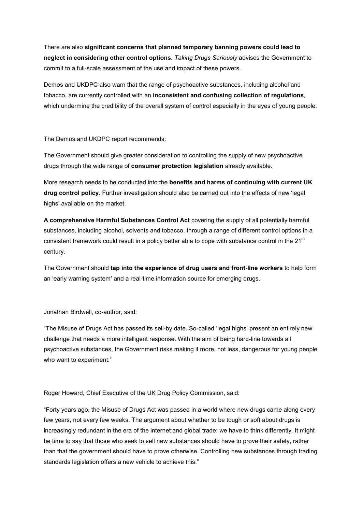There are also **significant concerns that planned temporary banning powers could lead to neglect in considering other control options**. *Taking Drugs Seriously* advises the Government to commit to a full-scale assessment of the use and impact of these powers.

Demos and UKDPC also warn that the range of psychoactive substances, including alcohol and tobacco, are currently controlled with an **inconsistent and confusing collection of regulations**, which undermine the credibility of the overall system of control especially in the eyes of young people.

The Demos and UKDPC report recommends:

The Government should give greater consideration to controlling the supply of new psychoactive drugs through the wide range of **consumer protection legislation** already available.

More research needs to be conducted into the **benefits and harms of continuing with current UK drug control policy**. Further investigation should also be carried out into the effects of new 'legal highs' available on the market.

**A comprehensive Harmful Substances Control Act** covering the supply of all potentially harmful substances, including alcohol, solvents and tobacco, through a range of different control options in a consistent framework could result in a policy better able to cope with substance control in the 21<sup>st</sup> century.

The Government should **tap into the experience of drug users and front-line workers** to help form an 'early warning system' and a real-time information source for emerging drugs.

Jonathan Birdwell, co-author, said:

"The Misuse of Drugs Act has passed its sell-by date. So-called 'legal highs' present an entirely new challenge that needs a more intelligent response. With the aim of being hard-line towards all psychoactive substances, the Government risks making it more, not less, dangerous for young people who want to experiment."

Roger Howard, Chief Executive of the UK Drug Policy Commission, said:

"Forty years ago, the Misuse of Drugs Act was passed in a world where new drugs came along every few years, not every few weeks. The argument about whether to be tough or soft about drugs is increasingly redundant in the era of the internet and global trade: we have to think differently. It might be time to say that those who seek to sell new substances should have to prove their safety, rather than that the government should have to prove otherwise. Controlling new substances through trading standards legislation offers a new vehicle to achieve this."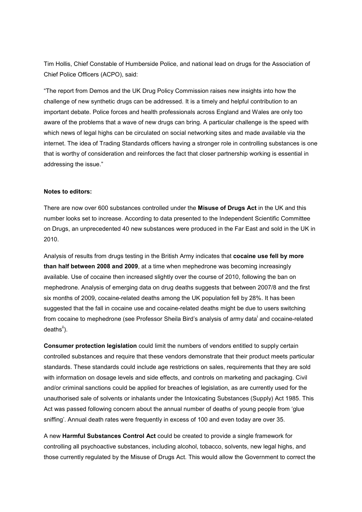Tim Hollis, Chief Constable of Humberside Police, and national lead on drugs for the Association of Chief Police Officers (ACPO), said:

"The report from Demos and the UK Drug Policy Commission raises new insights into how the challenge of new synthetic drugs can be addressed. It is a timely and helpful contribution to an important debate. Police forces and health professionals across England and Wales are only too aware of the problems that a wave of new drugs can bring. A particular challenge is the speed with which news of legal highs can be circulated on social networking sites and made available via the internet. The idea of Trading Standards officers having a stronger role in controlling substances is one that is worthy of consideration and reinforces the fact that closer partnership working is essential in addressing the issue."

## **Notes to editors:**

There are now over 600 substances controlled under the **Misuse of Drugs Act** in the UK and this number looks set to increase. According to data presented to the Independent Scientific Committee on Drugs, an unprecedented 40 new substances were produced in the Far East and sold in the UK in 2010.

Analysis of results from drugs testing in the British Army indicates that **cocaine use fell by more than half between 2008 and 2009**, at a time when mephedrone was becoming increasingly available. Use of cocaine then increased slightly over the course of 2010, following the ban on mephedrone. Analysis of emerging data on drug deaths suggests that between 2007/8 and the first six months of 2009, cocaine-related deaths among the UK population fell by 28%. It has been suggested that the fall in cocaine use and cocaine-related deaths might be due to users switching from cocaine to mephedrone (see Professor Sheila Bird's analysis of army data<sup>i</sup> and cocaine-related  $deaths<sup>ii</sup>$ ).

**Consumer protection legislation** could limit the numbers of vendors entitled to supply certain controlled substances and require that these vendors demonstrate that their product meets particular standards. These standards could include age restrictions on sales, requirements that they are sold with information on dosage levels and side effects, and controls on marketing and packaging. Civil and/or criminal sanctions could be applied for breaches of legislation, as are currently used for the unauthorised sale of solvents or inhalants under the Intoxicating Substances (Supply) Act 1985. This Act was passed following concern about the annual number of deaths of young people from 'glue sniffing'. Annual death rates were frequently in excess of 100 and even today are over 35.

A new **Harmful Substances Control Act** could be created to provide a single framework for controlling all psychoactive substances, including alcohol, tobacco, solvents, new legal highs, and those currently regulated by the Misuse of Drugs Act. This would allow the Government to correct the